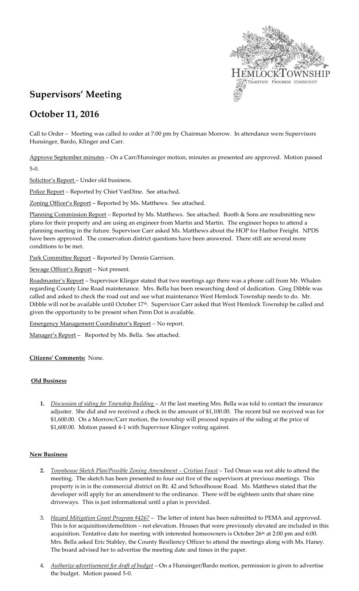

# **Supervisors' Meeting**

## **October 11, 2016**

Call to Order – Meeting was called to order at 7:00 pm by Chairman Morrow. In attendance were Supervisors Hunsinger, Bardo, Klinger and Carr.

Approve September minutes – On a Carr/Hunsinger motion, minutes as presented are approved. Motion passed 5-0.

Solicitor's Report – Under old business.

Police Report - Reported by Chief VanDine. See attached.

Zoning Officer's Report - Reported by Ms. Matthews. See attached.

Planning Commission Report - Reported by Ms. Matthews. See attached. Booth & Sons are resubmitting new plans for their property and are using an engineer from Martin and Martin. The engineer hopes to attend a planning meeting in the future. Supervisor Carr asked Ms. Matthews about the HOP for Harbor Freight. NPDS have been approved. The conservation district questions have been answered. There still are several more conditions to be met.

Park Committee Report - Reported by Dennis Garrison.

Sewage Officer's Report - Not present.

Roadmaster's Report – Supervisor Klinger stated that two meetings ago there was a phone call from Mr. Whalen regarding County Line Road maintenance. Mrs. Bella has been researching deed of dedication. Greg Dibble was called and asked to check the road out and see what maintenance West Hemlock Township needs to do. Mr. Dibble will not be available until October 17<sup>th</sup>. Supervisor Carr asked that West Hemlock Township be called and given the opportunity to be present when Penn Dot is available.

Emergency Management Coordinator's Report – No report.

Manager's Report - Reported by Ms. Bella. See attached.

**Citizens' Comments:** None.

## **Old Business**

**1.** *Discussion of siding for Township Building* – At the last meeting Mrs. Bella was told to contact the insurance adjuster. She did and we received a check in the amount of \$1,100.00. The recent bid we received was for \$1,600.00. On a Morrow/Carr motion, the township will proceed repairs of the siding at the price of \$1,600.00. Motion passed 4-1 with Supervisor Klinger voting against.

### **New Business**

- **2.** *Townhouse Sketch Plan/Possible Zoning Amendment – Cristian Foust –* Ted Oman was not able to attend the meeting. The sketch has been presented to four out five of the supervisors at previous meetings. This property is in is the commercial district on Rt. 42 and Schoolhouse Road. Ms. Matthews stated that the developer will apply for an amendment to the ordinance. There will be eighteen units that share nine driveways. This is just informational until a plan is provided.
- 3. *Hazard Mitigation Grant Program #4267* The letter of intent has been submitted to PEMA and approved. This is for acquisition/demolition – not elevation. Houses that were previously elevated are included in this acquisition. Tentative date for meeting with interested homeowners is October  $26<sup>th</sup>$  at 2:00 pm and 6:00. Mrs. Bella asked Eric Stahley, the County Resiliency Officer to attend the meetings along with Ms. Haney. The board advised her to advertise the meeting date and times in the paper.
- 4. *Authorize advertisement for draft of budget* On a Hunsinger/Bardo motion, permission is given to advertise the budget. Motion passed 5-0.